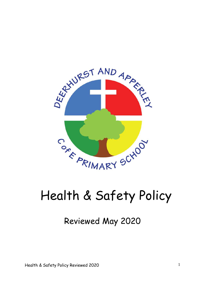

# Health & Safety Policy

# Reviewed May 2020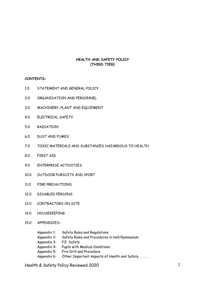# **HEALTH AND SAFETY POLICY (THIRD TIER)**

**CONTENTS:**

- 1.0 STATEMENT AND GENERAL POLICY
- 2.0 ORGANISATION AND PERSONNEL
- 3.0 MACHINERY, PLANT AND EQUIPMENT
- 4.0 ELECTRICAL SAFETY
- 5.0 RADIATION
- 6.0 DUST AND FUMES
- 7.0 TOXIC MATERIALS ANS SUBSTANCES HAZARDOUS TO HEALTH
- 8.0 FIRST AID
- 9.0 ENTERPRISE ACTIVITIES
- 10.0 OUTDOOR PURSUITS AND SPORT
- 11.0 FIRE PRECAUTIONS
- 12.0 DISABLED PERSONS
- 13.0 CONTRACTORS ON SITE
- 14.0 HOUSEKEEPING
- 15.0 APPENDICES:-
	- Appendix 1: Safety Rules and Regulations Appendix 2: Safety Rules and Procedures in Hall/Gymnasium Appendix 3: P.E. Safety Appendix 4: Pupils with Medical Conditions Appendix 5: Fire Drill and Procedure Appendix 6: Other Important Aspects of Health and Safety .....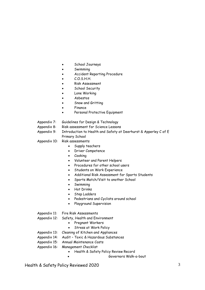- School Journeys
- Swimming
- Accident Reporting Procedure
- $C.O.S.H.H.$
- Risk Assessment
- **School Security**
- Lone Working
- Asbestos
- Snow and Gritting
- Finance
- Personal Protective Equipment
- Appendix 7: Guidelines for Design & Technology
- Appendix 8: Risk assessment for Science Lessons
- Appendix 9: Introduction to Health and Safety at Deerhurst & Apperley C of E Primary School
- Appendix 10: Risk assessments
	- Supply teachers
	- Driver Competence
	- Cooking
	- Volunteer and Parent Helpers
	- Procedures for other school users
	- **•** Students on Work Experience
	- Additional Risk Assessment for Sports Students
	- Sports Match/Visit to another School
	- Swimming
	- Hot Drinks
	- Step Ladders
	- Pedestrians and Cyclists around school
	- Playground Supervision
- Appendix 11: Fire Risk Assessments
- Appendix 12: Safety, Health and Environment
	- Pregnant Workers
	- Stress at Work Policy
- Appendix 13: Cleaning of Kitchen and Appliances
- Appendix 14: Audit Toxic & Hazardous Substances
- Appendix 15: Annual Maintenance Costs
- Appendix 16: Management Checklist
	- Health & Safety Policy Review Record
		- Governors Walk-a-bout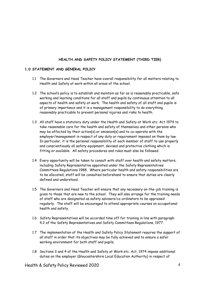# **HEALTH AND SAFETY POLICY STATEMENT (THIRD TIER)**

# **1.0 STATEMENT AND GENERAL POLICY**

- 1.1 The Governors and Head Teacher have overall responsibility for all matters relating to Health and Safety at work within all areas of the school.
- 1.2 The school's policy is to establish and maintain as far as is reasonably practicable, safe working and learning conditions for all staff and pupils by continuous attention to all aspects of health and safety at work. The health and safety of all staff and pupils is of primary importance and it is a management responsibility to do everything reasonably practicable to prevent personal injuries and risks to health.
- 1.3 All staff have a statutory duty under the Health and Safety at Work etc. Act 1974 to take reasonable care for the health and safety of themselves and other persons who may be affected by their action(s) or omission(s) and to co-operate with the employer/management in respect of any duty or requirement imposed on them by law. In particular, it is the personal responsibility of each member of staff to use properly and conscientiously all safety equipment, devised and protective clothing which is fitting or available. All safety procedures and rules must also be followed.
- 1.4 Every opportunity will be taken to consult with staff over health and safety matters, including Safety Representative appointed under the Safety Representatives Committees Regulations 1988. Where particular health and safety responsibilities are to be allocated, staff will be consulted beforehand to ensure that duties are clearly defined and understood.
- 1.5 The Governors and Head Teacher will ensure that any necessary on-the-job training is given to those that are new to the school. They will also arrange for the training needs of staff who are designated as safety advisers/co-ordinators to be appraised regularly. The staff will be encouraged to attend appropriate courses on occupational health and safety.
- 1.6 Safety Representatives will be accorded time off for training in line with paragraph 4.2 of the Safety Representatives and Safety Committees Regulations, 1977.
- 1.7 The implementation of the Health and Safety Policy Statement requires the support of all staff in order that its objectives may be fully achieved and to ensure a safer working environment for both staff and pupils.
- 1.8 Sections 3 and 4 of the Health and Safety at Work etc. Act, 1974 impose additional duties on the employer (Gloucestershire Local Education Authority) in respect of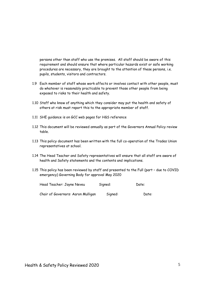persons other than staff who use the premises. All staff should be aware of this requirement and should ensure that where particular hazards exist or safe working procedures are necessary, they are brought to the attention of these persons, i.e. pupils, students, visitors and contractors.

- 1.9 Each member of staff whose work affects or involves contact with other people, must do whatever is reasonably practicable to prevent those other people from being exposed to risks to their health and safety.
- 1.10 Staff who know of anything which they consider may put the health and safety of others at risk must report this to the appropriate member of staff.
- 1.11 SHE guidance is on GCC web pages for H&S reference
- 1.12 This document will be reviewed annually as part of the Governors Annual Policy review table.
- 1.13 This policy document has been written with the full co-operation of the Trades Union representatives at school.
- 1.14 The Head Teacher and Safety representatives will ensure that all staff are aware of health and Safety statements and the contents and implications.
- 1.15 This policy has been reviewed by staff and presented to the Full (part due to COVID emergency) Governing Body for approval May 2020

| Head Teacher: Jayne Neveu          | Signed: | Date: |
|------------------------------------|---------|-------|
| Chair of Governors: Aaron Mulligan | Signed: | Date: |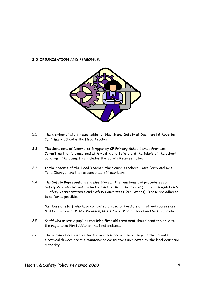# **2.0 ORGANISATION AND PERSONNEL**



- 2.1 The member of staff responsible for Health and Safety at Deerhurst & Apperley CE Primary School is the Head Teacher.
- 2.2 The Governors of Deerhurst & Apperley CE Primary School have a Premises Committee that is concerned with Health and Safety and the fabric of the school buildings. The committee includes the Safety Representative.
- 2.3 In the absence of the Head Teacher, the Senior Teachers Mrs Perry and Mrs Julie Oldroyd, are the responsible staff members.
- 2.4 The Safety Representative is Mrs. Neveu. The functions and procedures for Safety Representatives are laid out in the Union Handbooks (following Regulation 6 – Safety Representatives and Safety Committees' Regulations). These are adhered to so far as possible.

Members of staff who have completed a Basic or Paediatric First Aid courses are: Mrs Lena Baldwin, Miss K Robinson, Mrs A Cane, Mrs J Street and Mrs S Jackson.

- 2.5 Staff who assess a pupil as requiring first aid treatment should send the child to the registered First Aider in the first instance.
- 2.6 The nominees responsible for the maintenance and safe usage of the school's electrical devices are the maintenance contractors nominated by the local education authority.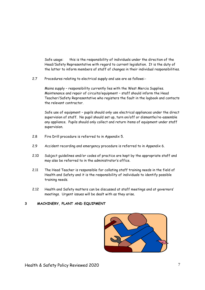Safe usage: this is the responsibility of individuals under the direction of the Head/Safety Representative with regard to current legislation. It is the duty of the latter to inform members of staff of changes in their individual responsibilities.

2.7 Procedures relating to electrical supply and use are as follows:-

Mains supply – responsibility currently lies with the West Mercia Supplies. Maintenance and repair of circuits/equipment – staff should inform the Head Teacher/Safety Representative who registers the fault in the logbook and contacts the relevant contractor.

Safe use of equipment – pupils should only use electrical appliances under the direct supervision of staff. No pupil should set up, turn on/off or dismantle/re-assemble any appliance. Pupils should only collect and return items of equipment under staff supervision.

- 2.8 Fire Drill procedure is referred to in Appendix 5.
- 2.9 Accident recording and emergency procedure is referred to in Appendix 6.
- 2.10 Subject guidelines and/or codes of practice are kept by the appropriate staff and may also be referred to in the administrator's office.
- 2.11 The Head Teacher is responsible for collating staff training needs in the field of Health and Safety and it is the responsibility of individuals to identify possible training needs.
- 2.12 Health and Safety matters can be discussed at staff meetings and at governors' meetings. Urgent issues will be dealt with as they arise.

# **3 MACHINERY, PLANT AND EQUIPMENT**

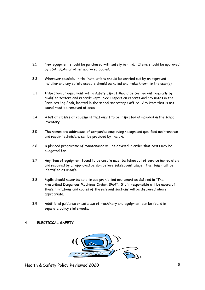- 3.1 New equipment should be purchased with safety in mind. Items should be approved by BSA, BEAB or other approved bodies.
- 3.2 Wherever possible, initial installations should be carried out by an approved installer and any safety aspects should be noted and make known to the user(s).
- 3.3 Inspection of equipment with a safety aspect should be carried out regularly by qualified testers and records kept. See Inspection reports and any notes in the Premises Log Book, located in the school secretary's office. Any item that is not sound must be removed at once.
- 3.4 A list of classes of equipment that ought to be inspected is included in the school inventory.
- 3.5 The names and addresses of companies employing recognised qualified maintenance and repair technicians can be provided by the LA.
- 3.6 A planned programme of maintenance will be devised in order that costs may be budgeted for.
- 3.7 Any item of equipment found to be unsafe must be taken out of service immediately and repaired by an approved person before subsequent usage. The item must be identified as unsafe.
- 3.8 Pupils should never be able to use prohibited equipment as defined in "The Prescribed Dangerous Machines Order, 1964". Staff responsible will be aware of these limitations and copies of the relevant sections will be displayed where appropriate.
- 3.9 Additional guidance on safe use of machinery and equipment can be found in separate policy statements.

# **4 ELECTRICAL SAFETY**

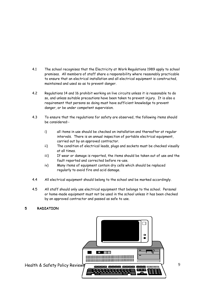- 4.1 The school recognises that the Electricity at Work Regulations 1989 apply to school premises. All members of staff share a responsibility where reasonably practicable to ensure that an electrical installation and all electrical equipment is constructed, maintained and used so as to prevent danger.
- 4.2 Regulations 14 and 16 prohibit working on live circuits unless it is reasonable to do so, and unless suitable precautions have been taken to prevent injury. It is also a requirement that persons so doing must have sufficient knowledge to prevent danger, or be under competent supervision.
- 4.3 To ensure that the regulations for safety are observed, the following items should be considered:
	- i) all items in use should be checked on installation and thereafter at regular intervals. There is an annual inspection of portable electrical equipment, carried out by an approved contractor.
	- ii) The condition of electrical leads, plugs and sockets must be checked visually at all times.
	- iii) If wear or damage is reported, the items should be taken out of use and the fault reported and corrected before re-use.
	- iv) Many items of equipment contain dry cells which should be replaced regularly to avoid fire and acid damage.
- 4.4 All electrical equipment should belong to the school and be marked accordingly.
- 4.5 All staff should only use electrical equipment that belongs to the school. Personal or home-made equipment must not be used in the school unless it has been checked by an approved contractor and passed as safe to use.

# **5 RADIATION**

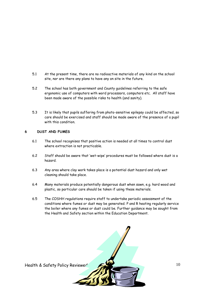- 5.1 At the present time, there are no radioactive materials of any kind on the school site, nor are there any plans to have any on site in the future.
- 5.2 The school has both government and County guidelines referring to the safe ergonomic use of computers with word processors, computers etc. All staff have been made aware of the possible risks to health (and sanity).
- 5.3 It is likely that pupils suffering from photo-sensitive epilepsy could be affected, so care should be exercised and staff should be made aware of the presence of a pupil with this condition.

# **6 DUST AND FUMES**

- 6.1 The school recognises that positive action is needed at all times to control dust where extraction is not practicable.
- 6.2 Staff should be aware that 'wet-wipe' procedures must be followed where dust is a hazard.
- 6.3 Any area where clay work takes place is a potential dust hazard and only wet cleaning should take place.
- 6.4 Many materials produce potentially dangerous dust when sawn, e.g. hard wood and plastic, so particular care should be taken if using these materials.
- 6.5 The COSHH regulations require staff to undertake periodic assessment of the conditions where fumes or dust may be generated. P and R heating regularly service the boiler where any fumes or dust could be. Further guidance may be sought from the Health and Safety section within the Education Department.

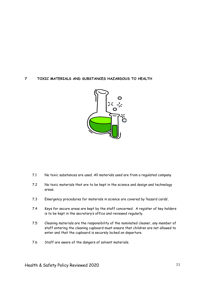# **7 TOXIC MATERIALS AND SUBSTANCES HAZARDOUS TO HEALTH**



- 7.1 No toxic substances are used. All materials used are from a regulated company
- 7.2 No toxic materials that are to be kept in the science and design and technology areas.
- 7.3 Emergency procedures for materials in science are covered by 'hazard cards'.
- 7.4 Keys for secure areas are kept by the staff concerned. A register of key holders is to be kept in the secretary's office and reviewed regularly.
- 7.5 Cleaning materials are the responsibility of the nominated cleaner, any member of staff entering the cleaning cupboard must ensure that children are not allowed to enter and that the cupboard is securely locked on departure.
- 7.6 Staff are aware of the dangers of solvent materials.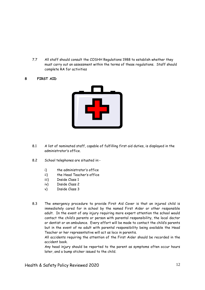7.7 All staff should consult the COSHH Regulations 1988 to establish whether they must carry out an assessment within the terms of these regulations. Staff should complete RA for activities

# **8 FIRST AID**



- 8.1 A list of nominated staff, capable of fulfilling first aid duties, is displayed in the administrator's office.
- 8.2 School telephones are situated in:
	- i) the administrator's office
	- ii) the Head Teacher's office
	- iii) Inside Class 1
	- iv) Inside Class 2
	- v) Inside Class 3
- 8.3 The emergency procedure to provide First Aid Cover is that an injured child is immediately cared for in school by the named First Aider or other responsible adult. In the event of any injury requiring more expert attention the school would contact the child's parents or person with parental responsibility, the local doctor or dentist or an ambulance. Every effort will be made to contact the child's parents but in the event of no adult with parental responsibility being available the Head Teacher or her representative will act as loco in parentis.

All accidents requiring the attention of the First Aider should be recorded in the accident book.

Any head injury should be reported to the parent as symptoms often occur hours later, and a bump sticker issued to the child.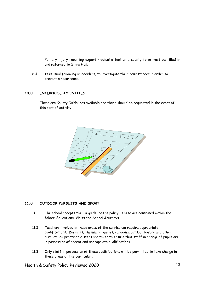For any injury requiring expert medical attention a county form must be filled in and returned to Shire Hall.

8.4 It is usual following an accident, to investigate the circumstances in order to prevent a recurrence.

## **10.0 ENTERPRISE ACTIVITIES**

There are County Guidelines available and these should be requested in the event of this sort of activity.



# **11.0 OUTDOOR PURSUITS AND SPORT**

- 11.1 The school accepts the LA guidelines as policy. These are contained within the folder 'Educational Visits and School Journeys'.
- 11.2 Teachers involved in these areas of the curriculum require appropriate qualifications. During PE, swimming, games, canoeing, outdoor leisure and other pursuits, all practicable steps are taken to ensure that staff in charge of pupils are in possession of recent and appropriate qualifications.
- 11.3 Only staff in possession of these qualifications will be permitted to take charge in these areas of the curriculum.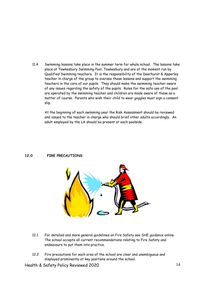11.4 Swimming lessons take place in the summer term for whole school. The lessons take place at Tewkesbury Swimming Pool, Tewkesbury and are at the moment run by Qualified Swimming teachers. It is the responsibility of the Deerhurst & Apperley teacher in charge of the group to oversee these lessons and support the swimming teachers in the care of our pupils. They should make the swimming teacher aware of any issues regarding the safety of the pupils. Rules for the safe use of the pool are operated by the swimming teacher and children are made aware of these as a matter of course. Parents who wish their child to wear goggles must sign a consent slip.

At the beginning of each swimming year the Risk Assessment should be reviewed and issued to the teacher in charge who should brief other adults accordingly. An adult employed by the LA should be present at each poolside.

#### **12.0 FIRE PRECAUTIONS**



- 12.1 For detailed and more general guidelines on Fire Safety see SHE guidance online. The school accepts all current recommendations relating to Fire Safety and endeavours to put them into practice.
- 12.2 Fire precautions for each area of the school are clear and unambiguous and displayed prominently at key positions around the school.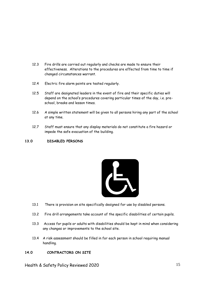- 12.3 Fire drills are carried out regularly and checks are made to ensure their effectiveness. Alterations to the procedures are effected from time to time if changed circumstances warrant.
- 12.4 Electric fire alarm points are tested regularly.
- 12.5 Staff are designated leaders in the event of fire and their specific duties will depend on the school's procedures covering particular times of the day, i.e. preschool, breaks and lesson times.
- 12.6 A simple written statement will be given to all persons hiring any part of the school at any time.
- 12.7 Staff must ensure that any display materials do not constitute a fire hazard or impede the safe evacuation of the building.

# **13.0 DISABLED PERSONS**



- 13.1 There is provision on site specifically designed for use by disabled persons.
- 13.2 Fire drill arrangements take account of the specific disabilities of certain pupils.
- 13.3 Access for pupils or adults with disabilities should be kept in mind when considering any changes or improvements to the school site.
- 13.4 A risk assessment should be filled in for each person in school requiring manual handling.

# **14.0 CONTRACTORS ON SITE**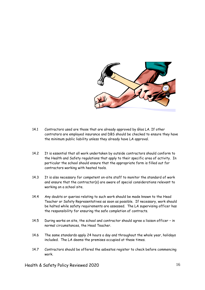

- 14.1 Contractors used are those that are already approved by Glos LA. If other contrators are employed insurance and DBS should be checked to ensure they have the minimum public liability unless they already have LA approval.
- 14.2 It is essential that all work undertaken by outside contractors should conform to the Health and Safety regulations that apply to their specific area of activity. In particular the school should ensure that the appropriate form is filled out for contractors working with heated tools.
- 14.3 It is also necessary for competent on-site staff to monitor the standard of work and ensure that the contractor(s) are aware of special considerations relevant to working on a school site.
- 14.4 Any doubts or queries relating to such work should be made known to the Head Teacher or Safety Representatives as soon as possible. If necessary, work should be halted while safety requirements are assessed. The LA supervising officer has the responsibility for ensuring the safe completion of contracts.
- 14.5 During works on site, the school and contractor should agree a liaison officer in normal circumstances, the Head Teacher.
- 14.6 The same standards apply 24 hours a day and throughout the whole year, holidays included. The LA deems the premises occupied at these times.
- 14.7 Contractors should be offered the asbestos register to check before commencing work.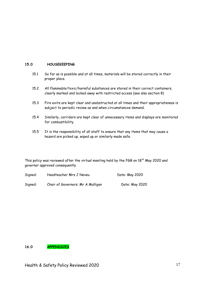# **15.0 HOUSEKEEPING**

- 15.1 So far as is possible and at all times, materials will be stored correctly in their proper place.
- 15.2 All flammable/toxic/harmful substances are stored in their correct containers, clearly marked and locked away with restricted access (see also section 8)
- 15.3 Fire exits are kept clear and unobstructed at all times and their appropriateness is subject to periodic review as and when circumstances demand.
- 15.4 Similarly, corridors are kept clear of unnecessary items and displays are monitored for combustibility.
- 15.5 It is the responsibility of all staff to ensure that any items that may cause a hazard are picked up, wiped up or similarly made safe.

This policy was reviewed after the virtual meeting held by the FGB on  $18<sup>th</sup>$  May 2020 and governor approved consequently.

Signed: Headteacher Mrs J Neveu Date: May 2020 Signed: Chair of Governors: Mr A Mulligan Date: May 2020

**16.0 APPENDICES**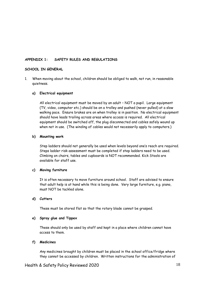# **APPENDIX 1: SAFETY RULES AND REGULATIONS**

#### **SCHOOL IN GENERAL**

1. When moving about the school, children should be obliged to walk, not run, in reasonable quietness.

#### **a) Electrical equipment**

All electrical equipment must be moved by an adult – NOT a pupil. Large equipment (TV, video, computer etc.) should be on a trolley and pushed (never pulled) at a slow walking pace. Ensure brakes are on when trolley is in position. No electrical equipment should have leads trailing across areas where access is required. All electrical equipment should be switched off, the plug disconnected and cables safely wound up when not in use. (The winding of cables would not necessarily apply to computers.)

#### **b) Mounting work**

Step ladders should not generally be used when levels beyond one's reach are required. Steps ladder risk assessment must be completed if step ladders need to be used. Climbing on chairs, tables and cupboards is NOT recommended. Kick Stools are available for staff use.

#### **c) Moving furniture**

It is often necessary to move furniture around school. Staff are advised to ensure that adult help is at hand while this is being done. Very large furniture, e.g. piano, must NOT be tackled alone.

#### **d) Cutters**

These must be stored flat so that the rotary blade cannot be grasped.

#### **e) Spray glue and Tippex**

These should only be used by staff and kept in a place where children cannot have access to them.

#### **f) Medicines**

Any medicines brought by children must be placed in the school office/fridge where they cannot be accessed by children. Written instructions for the administration of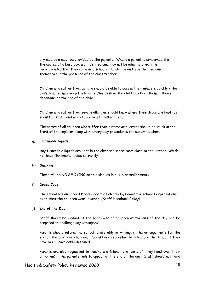any medicine must be provided by the parents. Where a parent is concerned that, in the course of a busy day, a child's medicine may not be administered, it is recommended that they come into school at lunchtime and give the medicine themselves in the presence of the class teacher.

Children who suffer from asthma should be able to access their inhalers quickly – the class teacher may keep these in her/his desk or the child may keep them in theirs depending on the age of the child.

Children who suffer from severe allergies should know where their drugs are kept (as should all staff) and who is able to administer them.

The names of all children who suffer from asthma or allergies should be stuck in the front of the register along with emergency procedures for supply teachers.

# **g) Flammable liquids**

Any flammable liquids are kept in the cleaner's store-room close to the kitchen. We do not have flammable liquids currently.

#### **h) Smoking**

There will be NO SMOKING on this site, as in all LA establishments.

# **i) Dress Code**

The school has an agreed Dress Code that clearly lays down the school's expectations as to what the children wear in school (Staff Handbook Policy).

# **j) End of the Day**

Staff should be vigilant at the hand-over of children at the end of the day and be prepared to challenge any 'strangers'.

Parents should inform the school, preferably in writing, if the arrangements for the end of the day have changed. Parents are requested to telephone the school if they have been unavoidably detained.

Parents are also requested to nominate a friend to whom staff may hand over their child(ren) if the parents fails to appear at the end of the day. Staff should not hand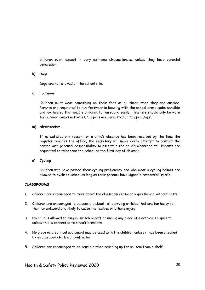children over, except in very extreme circumstances, unless they have parental permission.

### **k) Dogs**

Dogs are not allowed on the school site.

### **i) Footwear**

Children must wear something on their feet at all times when they are outside. Parents are requested to buy footwear in keeping with the school dress code; sensible and low heeled that enable children to run round easily. Trainers should only be worn for outdoor games activities. Slippers are permitted on 'Slipper Days'.

## **m) Absenteeism**

If no satisfactory reason for a child's absence has been received by the time the register reaches the office, the secretary will make every attempt to contact the person with parental responsibility to ascertain the child's whereabouts. Parents are requested to telephone the school on the first day of absence.

# **n) Cycling**

Children who have passed their cycling proficiency and who wear a cycling helmet are allowed to cycle to school as long as their parents have signed a responsibility slip.

# **CLASSROOMS**

- 1. Children are encouraged to move about the classroom reasonably quietly and without haste.
- 2. Children are encouraged to be sensible about not carrying articles that are too heavy for them or awkward and likely to cause themselves or others injury.
- 3. No child is allowed to plug in, switch on/off or unplug any piece of electrical equipment unless this is connected to circuit breakers.
- 4. No piece of electrical equipment may be used with the children unless it has been checked by an approved electrical contractor.
- 5. Children are encouraged to be sensible when reaching up for an item from a shelf.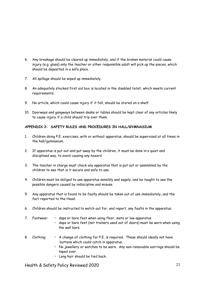- 6. Any breakage should be cleared up immediately, and if the broken material could cause injury (e.g. glass) only the teacher or other responsible adult will pick up the pieces, which should be deposited in a safe place.
- 7. All spillage should be wiped up immediately.
- 8. An adequately stocked first aid box is located in the disabled toilet, which meets current requirements.
- 9. No article, which could cause injury if it fell, should be stored on a shelf.
- 10. Doorways and gangways between desks or tables should be kept clear of any articles likely to cause injury if a child should trip over them.

# **APPENDIX 2: SAFETY RULES AND PROCEDURES IN HALL/GYMNASIUM**

- 1. Children doing P.E. exercises, with or without apparatus, should be supervised at all times in the hall/gymnasium.
- 2. If apparatus is put out and put away by the children, it must be done in a quiet and disciplined way, to avoid causing any hazard.
- 3. The teacher in charge must check any apparatus that is put out or assembled by the children to see that is it secure and safe to use.
- 4. Children must be obliged to use apparatus sensibly and sagely, and be taught to see the possible dangers caused by indiscipline and misuse.
- 5. Any apparatus that is found to be faulty should be taken out of use immediately, and the fact reported to the Head.
- 6. Children should be instructed to watch out for, and report, any faults in the apparatus.
- 7. Footwear: daps or bare feet when using floor, mats or low apparatus • daps or bare feet (not trainers used out of doors) must be worn when using the wall bars.
- 8. Clothing:  $\cdot A$  change of clothing for P.E. is required. These should ideally not have buttons which could catch in apparatus.
	- No jewellery or watches to be worn. Any non-removable earrings should be taped over.
	- Long hair should be tied back.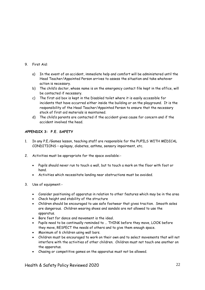- 9. First Aid:
	- a) In the event of an accident, immediate help and comfort will be administered until the Head Teacher/Appointed Person arrives to assess the situation and take whatever action is necessary.
	- b) The child's doctor, whose name is on the emergency contact file kept in the office, will be contacted if necessary.
	- c) The first aid box is kept in the Disabled toilet where it is easily accessible for incidents that have occurred either inside the building or on the playground. It is the responsibility of the Head Teacher/Appointed Person to ensure that the necessary stock of first aid materials is maintained.
	- d) The child's parents are contacted if the accident gives cause for concern and if the accident involved the head.

# **APPENDIX 3: P.E. SAFETY**

- 1. In any P.E./Games lesson, teaching staff are responsible for the PUPILS WITH MEDICAL CONDITIONS – epilepsy, diabetes, asthma, sensory impairment, etc.
- 2. Activities must be appropriate for the space available:-
	- Pupils should never run to touch a wall, but to touch a mark on the floor with foot or hand.
	- Activities which necessitate landing near obstructions must be avoided.
- 3. Use of equipment:-
	- Consider positioning of apparatus in relation to other features which may be in the area
	- Check height and stability of the structure
	- Children should be encouraged to use safe footwear that gives traction. Smooth soles are dangerous. Children wearing shoes and sandals are not allowed to use the apparatus.
	- Bare feet for dance and movement is the ideal.
	- Pupils need to be continually reminded to … THINK before they move, LOOK before they move, RESPECT the needs of others and to give them enough space.
	- Maximum of 6 children using wall bars.
	- Children must be encouraged to work on their own and to select movements that will not interfere with the activities of other children. Children must not touch one another on the apparatus.
	- Chasing or competitive games on the apparatus must not be allowed.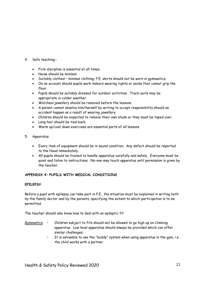- 4. Safe teaching:-
	- Firm discipline is essential at all times.
	- Noise should be minimal.
	- Suitably clothed minimal clothing; P.E. skirts should not be worn in gymnastics.
	- On no account should pupils work indoors wearing tights or socks that cannot grip the floor.
	- Pupils should be suitably dressed for outdoor activities. Track-suits may be appropriate in colder weather.
	- Watches/jewellery should be removed before the lessons.
	- A parent cannot absolve him/herself by writing to accept responsibility should an accident happen as a result of wearing jewellery.
	- Children should be expected to remove their own studs or they must be taped over.
	- Long hair should be tied back.
	- Warm up/cool down exercises are essential parts of all lessons.
- 5. Apparatus
	- Every item of equipment should be in sound condition. Any defect should be reported to the Head immediately.
	- All pupils should be trained to handle apparatus carefully and safely. Everyone must be quiet and listen to instructions. No-one may touch apparatus until permission is given by the teacher.

# **APPENDIX 4: PUPILS WITH MEDICAL CONDITIONS**

# **EPILEPSY**

Before a pupil with epilepsy can take part in P.E., the situation must be explained in writing both by the family doctor and by the parents, specifying the extent to which participation is to be permitted.

The teacher should also know how to deal with an epileptic fit

- $Gymnastics$  Children subject to fits should not be allowed to go high up on climbing apparatus. Low level apparatus should always be provided which can offer similar challenges.
	- It is advisable to use the "buddy" system when using apparatus in the gym, i.e. the child works with a partner.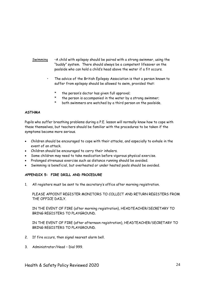- Swimming  $\cdot$  A child with epilepsy should be paired with a strong swimmer, using the "buddy" system. There should always be a competent lifesaver on the poolside who can hold a child's head above the water if a fit occurs.
	- The advice of the British Epilepsy Association is that a person known to suffer from epilepsy should be allowed to swim, provided that:
		- \* the person's doctor has given full approval;
		- \* the person is accompanied in the water by a strong swimmer;
		- \* both swimmers are watched by a third person on the poolside.

#### **ASTHMA**

Pupils who suffer breathing problems during a P.E. lesson will normally know how to cope with these themselves, but teachers should be familiar with the procedures to be taken if the symptoms become more serious.

- Children should be encouraged to cope with their attacks, and especially to exhale in the event of an attack.
- Children should be encouraged to carry their inhalers.
- Some children may need to take medication before vigorous physical exercise.
- Prolonged strenuous exercise such as distance running should be avoided.
- Swimming is beneficial, but overheated or under heated pools should be avoided.

# **APPENDIX 5: FIRE DRILL AND PROCEDURE**

1. All registers must be sent to the secretary's office after morning registration.

PLEASE APPOINT REGISTER MONITORS TO COLLECT AND RETURN REGISTERS FROM THE OFFICE DAILY.

IN THE EVENT OF FIRE (after morning registration), HEADTEACHER/SECRETARY TO BRING REGISTERS TO PLAYGROUND.

IN THE EVENT OF FIRE (after afternoon registration), HEADTEACHER/SECRETARY TO BRING REGISTERS TO PLAYGROUND.

- 2. If fire occurs, then signal nearest alarm bell.
- 3. Administrator/Head Dial 999.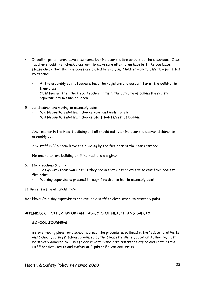- 4. If bell rings, children leave classrooms by fire door and line up outside the classroom. Class teacher should then check classroom to make sure all children have left. As you leave, please check that the fire doors are closed behind you. Children walk to assembly point, led by teacher.
	- At the assembly point, teachers have the registers and account for all the children in their class.
	- Class teachers tell the Head Teacher, in turn, the outcome of calling the register, reporting any missing children.
- 5. As children are moving to assembly point:-
	- Mrs Neveu/Mrs Mottram checks Boys' and Girls' toilets.
	- Mrs Neveu/Mrs Mottram checks Staff toilets/rest of building.

Any teacher in the Elliott building or hall should exit via fire door and deliver children to assembly point.

Any staff in PPA room leave the building by the fire door at the rear entrance

No-one re-enters building until instructions are given.

6. Non-teaching Staff:-

TAs go with their own class, if they are in that class or otherwise exit from nearest fire point

• Mid-day supervisors proceed through fire door in hall to assembly point.

If there is a fire at lunchtime:-

Mrs Neveu/mid-day supervisors and available staff to clear school to assembly point.

## **APPENDIX 6: OTHER IMPORTANT ASPECTS OF HEALTH AND SAFETY**

#### **SCHOOL JOURNEYS**

Before making plans for a school journey, the procedures outlined in the "Educational Visits and School Journeys" folder, produced by the Gloucestershire Education Authority, must be strictly adhered to. This folder is kept in the Administartor's office and contains the DfEE booklet 'Health and Safety of Pupils on Educational Visits'.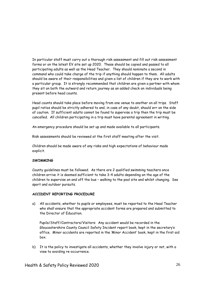In particular staff must carry out a thorough risk assessment and fill out risk assessment forms or on the latest EV site set up 2020. These should be copied and passed to all participating adults as well as the Head Teacher. They should nominate a second in command who could take charge of the trip if anything should happen to them. All adults should be aware of their responsibilities and given a list of children if they are to work with a particular group. It is strongly recommended that children are given a partner with whom they sit on both the outward and return journey as an added check on individuals being present before head counts.

Head counts should take place before moving from one venue to another on all trips. Staff pupil ratios should be strictly adhered to and, in case of any doubt, should err on the side of caution. If sufficient adults cannot be found to supervise a trip then the trip must be cancelled. All children participating in a trip must have parental agreement in writing.

An emergency procedure should be set up and made available to all participants.

Risk assessments should be reviewed at the first staff meeting after the visit.

Children should be made aware of any risks and high expectations of behaviour made explicit.

#### **SWIMMING**

County guidelines must be followed. As there are 2 qualified swimming teachers once children arrive it is deemed sufficient to take 3-4 adults depending on the age of the children to supervise on and off the bus – walking to the pool site and whilst changing. See sport and outdoor pursuits.

#### **ACCIDENT REPORTING PROCEDURE**

a) All accidents, whether to pupils or employees, must be reported to the Head Teacher who shall ensure that the appropriate accident forms are prepared and submitted to the Director of Education.

Pupils/Staff/Contractors/Visitors: Any accident would be recorded in the Gloucestershire County Council Safety Incident report book, kept in the secretary's office. Minor accidents are reported in the 'Minor Accident' book, kept in the first aid box.

b) It is the policy to investigate all accidents, whether they involve injury or not, with a view to avoiding re-occurrence.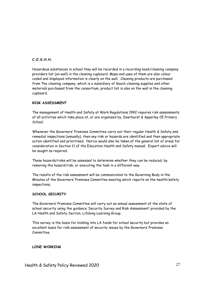# **C.O.S.H.H.**

Hazardous substances in school they will be recorded in a recording book/cleaning company providers list (on wall) in the cleaning cupboard. Mops and uses of them are also colour coded and displayed information is clearly on the wall. Cleaning products are purchased from The cleaning company, which is a subsidiary of Gooch cleaning supplies and other materials purchased from the consortium, product list is also on the wall in the cleaning cupboard.

# **RISK ASSESSMENT**

The management of Health and Safety at Work Regulations 1992 requires risk assessments of all activities which take place at, or are organised by, Deerhurst & Apperley CE Primary School.

Whenever the Governors' Premises Committee carry out their regular Health & Safety and remedial inspections (annually), then any risk or hazards are identified and then appropriate action identified and prioritised. Notice would also be taken of the general list of areas for consideration in Section 11 of the Education Health and Safety manual. Expert advice will be sought as required.

These hazards/risks will be assessed to determine whether they can be reduced, by removing the hazard/risk, or executing the task in a different way.

The results of the risk assessment will be communicated to the Governing Body in the Minutes of the Governors' Premises Committee meeting which reports on the health/safety inspections.

# **SCHOOL SECURITY**

The Governors' Premises Committee will carry out an annual assessment of the state of school security using the guidance 'Security Survey and Risk Assessment' provided by the LA Health and Safety Section, Lifelong Learning Group.

This survey is the basis for bidding into LA funds for school security but provides an excellent basis for risk assessment of security issues by the Governors' Premises Committee.

# **LONE WORKING**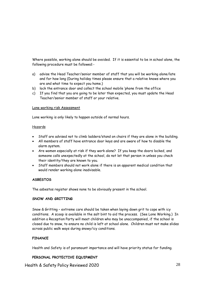Where possible, working alone should be avoided. If it is essential to be in school alone, the following procedure must be followed:-

- a) advise the Head Teacher/senior member of staff that you will be working alone/late and for how long (During holiday times please ensure that a relative knows where you are and what time to expect you home.)
- b) lock the entrance door and collect the school mobile 'phone from the office
- c) If you find that you are going to be later than expected, you must update the Head Teacher/senior member of staff or your relative.

### Lone working risk Assessment

Lone working is only likely to happen outside of normal hours.

### Hazards

- Staff are advised not to climb ladders/stand on chairs if they are alone in the building.
- All members of staff have entrance door keys and are aware of how to disable the alarm system.
- Are women especially at risk if they work alone? If you keep the doors locked, and someone calls unexpectedly at the school, do not let that person in unless you check their identity/they are known to you.
- Staff members should not work alone if there is an apparent medical condition that would render working alone inadvisable.

# **ASBESTOS**

The asbestos register shows none to be obviously present in the school.

# **SNOW AND GRITTING**

Snow & Gritting – extreme care should be taken when laying down grit to cope with icy conditions. A scoop is available in the salt bint to aid the process. (See Lone Working.) In addition a Reception Party will meet children who may be unaccompanied, if the school is closed due to snow, to ensure no child is left at school alone. Children must not make slides across public walk ways during snowy/icy conditions.

# **FINANCE**

Health and Safety is of paramount importance and will have priority status for funding.

# **PERSONAL PROTECTIVE EQUIPMENT**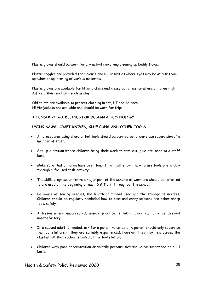Plastic gloves should be worn for any activity involving cleaning up bodily fluids.

Plastic goggles are provided for Science and DT activities where eyes may be at risk from splashes or splintering of various materials.

Plastic gloves are available for litter pickers and messy activities, or where children might suffer a skin reaction – such as clay.

Old shirts are available to protect clothing in art, DT and Science. Hi Viz jackets are available and should be worn for trips.

# **APPENDIX 7: GUIDELINES FOR DESIGN & TECHNOLOGY**

# **USING SAWS, CRAFT KNIVES, GLUE GUNS AND OTHER TOOLS**

- All procedures using sharp or hot tools should be carried out under close supervision of a member of staff.
- Set up a station where children bring their work to saw, cut, glue etc. near to a staff base.
- Make sure that children have been taught, not just shown, how to use tools preferably through a 'focused task' activity.
- The skills progression forms a major part of the scheme of work and should be referred to and used at the beginning of each D & T unit throughout the school.
- Be aware of sewing needles, the length of thread used and the storage of needles. Children should be regularly reminded how to pass and carry scissors and other sharp tools safely.
- A lesson where uncorrected, unsafe practice is taking place can only be deemed unsatisfactory.
- If a second adult is needed, ask for a parent volunteer. A parent should only supervise the tool stations if they are suitably experienced, however, they may help across the class whilst the teacher is based at the tool station.
- Children with poor concentration or volatile personalities should be supervised on a 1:1 basis.